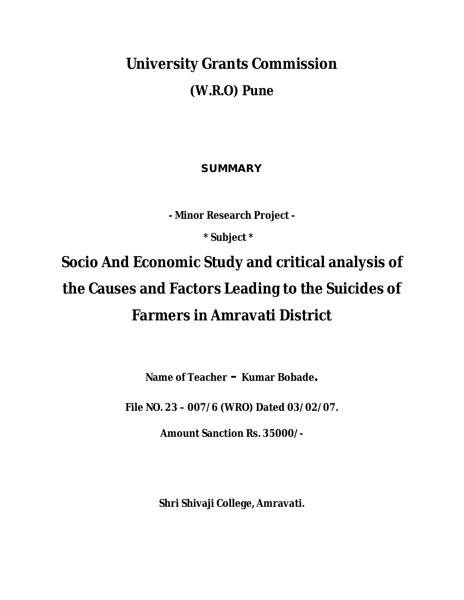# **University Grants Commission (W.R.O) Pune**

# **SUMMARY**

**- Minor Research Project -**

 **\* Subject \***

# **Socio And Economic Study and critical analysis of the Causes and Factors Leading to the Suicides of Farmers in Amravati District**

**Name of Teacher – Kumar Bobade.**

**File NO. 23 – 007/6 (WRO) Dated 03/02/07.**

**Amount Sanction Rs. 35000/-**

**Shri Shivaji College, Amravati.**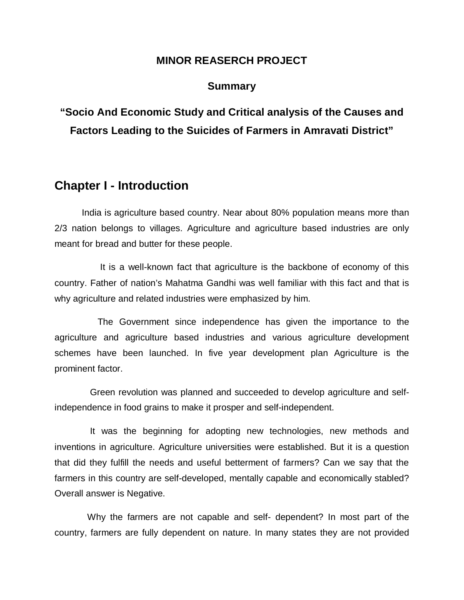#### **MINOR REASERCH PROJECT**

#### **Summary**

# **"Socio And Economic Study and Critical analysis of the Causes and Factors Leading to the Suicides of Farmers in Amravati District"**

# **Chapter I - Introduction**

India is agriculture based country. Near about 80% population means more than 2/3 nation belongs to villages. Agriculture and agriculture based industries are only meant for bread and butter for these people.

 It is a well-known fact that agriculture is the backbone of economy of this country. Father of nation's Mahatma Gandhi was well familiar with this fact and that is why agriculture and related industries were emphasized by him.

 The Government since independence has given the importance to the agriculture and agriculture based industries and various agriculture development schemes have been launched. In five year development plan Agriculture is the prominent factor.

 Green revolution was planned and succeeded to develop agriculture and selfindependence in food grains to make it prosper and self-independent.

 It was the beginning for adopting new technologies, new methods and inventions in agriculture. Agriculture universities were established. But it is a question that did they fulfill the needs and useful betterment of farmers? Can we say that the farmers in this country are self-developed, mentally capable and economically stabled? Overall answer is Negative.

 Why the farmers are not capable and self- dependent? In most part of the country, farmers are fully dependent on nature. In many states they are not provided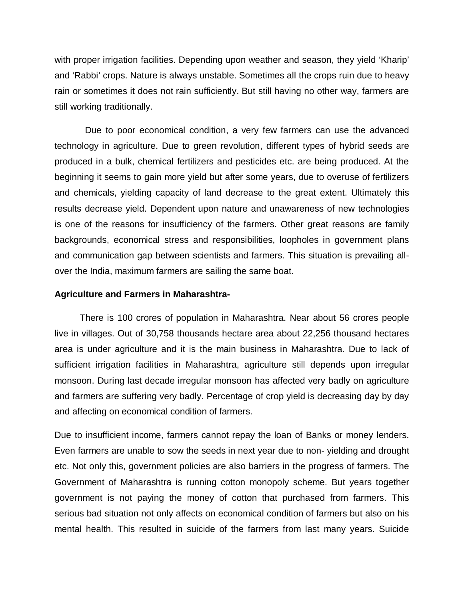with proper irrigation facilities. Depending upon weather and season, they yield 'Kharip' and 'Rabbi' crops. Nature is always unstable. Sometimes all the crops ruin due to heavy rain or sometimes it does not rain sufficiently. But still having no other way, farmers are still working traditionally.

 Due to poor economical condition, a very few farmers can use the advanced technology in agriculture. Due to green revolution, different types of hybrid seeds are produced in a bulk, chemical fertilizers and pesticides etc. are being produced. At the beginning it seems to gain more yield but after some years, due to overuse of fertilizers and chemicals, yielding capacity of land decrease to the great extent. Ultimately this results decrease yield. Dependent upon nature and unawareness of new technologies is one of the reasons for insufficiency of the farmers. Other great reasons are family backgrounds, economical stress and responsibilities, loopholes in government plans and communication gap between scientists and farmers. This situation is prevailing allover the India, maximum farmers are sailing the same boat.

#### **Agriculture and Farmers in Maharashtra-**

 There is 100 crores of population in Maharashtra. Near about 56 crores people live in villages. Out of 30,758 thousands hectare area about 22,256 thousand hectares area is under agriculture and it is the main business in Maharashtra. Due to lack of sufficient irrigation facilities in Maharashtra, agriculture still depends upon irregular monsoon. During last decade irregular monsoon has affected very badly on agriculture and farmers are suffering very badly. Percentage of crop yield is decreasing day by day and affecting on economical condition of farmers.

Due to insufficient income, farmers cannot repay the loan of Banks or money lenders. Even farmers are unable to sow the seeds in next year due to non- yielding and drought etc. Not only this, government policies are also barriers in the progress of farmers. The Government of Maharashtra is running cotton monopoly scheme. But years together government is not paying the money of cotton that purchased from farmers. This serious bad situation not only affects on economical condition of farmers but also on his mental health. This resulted in suicide of the farmers from last many years. Suicide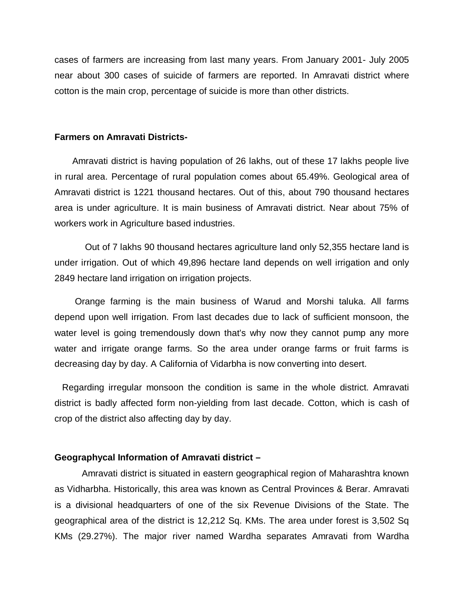cases of farmers are increasing from last many years. From January 2001- July 2005 near about 300 cases of suicide of farmers are reported. In Amravati district where cotton is the main crop, percentage of suicide is more than other districts.

#### **Farmers on Amravati Districts-**

 Amravati district is having population of 26 lakhs, out of these 17 lakhs people live in rural area. Percentage of rural population comes about 65.49%. Geological area of Amravati district is 1221 thousand hectares. Out of this, about 790 thousand hectares area is under agriculture. It is main business of Amravati district. Near about 75% of workers work in Agriculture based industries.

 Out of 7 lakhs 90 thousand hectares agriculture land only 52,355 hectare land is under irrigation. Out of which 49,896 hectare land depends on well irrigation and only 2849 hectare land irrigation on irrigation projects.

 Orange farming is the main business of Warud and Morshi taluka. All farms depend upon well irrigation. From last decades due to lack of sufficient monsoon, the water level is going tremendously down that's why now they cannot pump any more water and irrigate orange farms. So the area under orange farms or fruit farms is decreasing day by day. A California of Vidarbha is now converting into desert.

 Regarding irregular monsoon the condition is same in the whole district. Amravati district is badly affected form non-yielding from last decade. Cotton, which is cash of crop of the district also affecting day by day.

#### **Geographycal Information of Amravati district –**

Amravati district is situated in eastern geographical region of Maharashtra known as Vidharbha. Historically, this area was known as Central Provinces & Berar. Amravati is a divisional headquarters of one of the six Revenue Divisions of the State. The geographical area of the district is 12,212 Sq. KMs. The area under forest is 3,502 Sq KMs (29.27%). The major river named Wardha separates Amravati from Wardha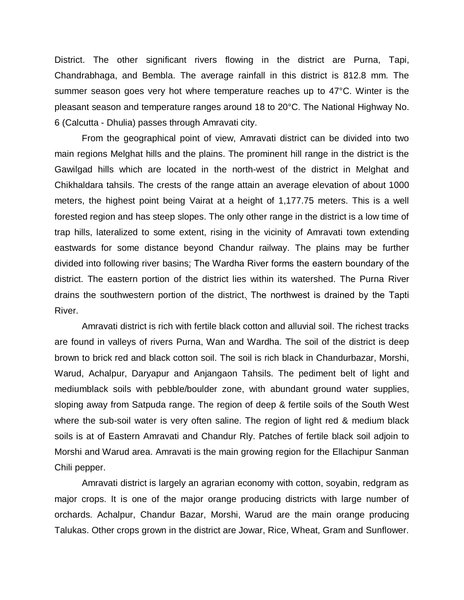District. The other significant rivers flowing in the district are Purna, Tapi, Chandrabhaga, and Bembla. The average rainfall in this district is 812.8 mm. The summer season goes very hot where temperature reaches up to 47°C. Winter is the pleasant season and temperature ranges around 18 to 20°C. The National Highway No. 6 (Calcutta - Dhulia) passes through Amravati city.

From the geographical point of view, Amravati district can be divided into two main regions Melghat hills and the plains. The prominent hill range in the district is the Gawilgad hills which are located in the north-west of the district in Melghat and Chikhaldara tahsils. The crests of the range attain an average elevation of about 1000 meters, the highest point being Vairat at a height of 1,177.75 meters. This is a well forested region and has steep slopes. The only other range in the district is a low time of trap hills, lateralized to some extent, rising in the vicinity of Amravati town extending eastwards for some distance beyond Chandur railway. The plains may be further divided into following river basins: The Wardha River forms the eastern boundary of the district. The eastern portion of the district lies within its watershed. The Purna River drains the southwestern portion of the district. The northwest is drained by the Tapti River.

Amravati district is rich with fertile black cotton and alluvial soil. The richest tracks are found in valleys of rivers Purna, Wan and Wardha. The soil of the district is deep brown to brick red and black cotton soil. The soil is rich black in Chandurbazar, Morshi, Warud, Achalpur, Daryapur and Anjangaon Tahsils. The pediment belt of light and mediumblack soils with pebble/boulder zone, with abundant ground water supplies, sloping away from Satpuda range. The region of deep & fertile soils of the South West where the sub-soil water is very often saline. The region of light red & medium black soils is at of Eastern Amravati and Chandur Rly. Patches of fertile black soil adjoin to Morshi and Warud area. Amravati is the main growing region for the Ellachipur Sanman Chili pepper.

Amravati district is largely an agrarian economy with cotton, soyabin, redgram as major crops. It is one of the major orange producing districts with large number of orchards. Achalpur, Chandur Bazar, Morshi, Warud are the main orange producing Talukas. Other crops grown in the district are Jowar, Rice, Wheat, Gram and Sunflower.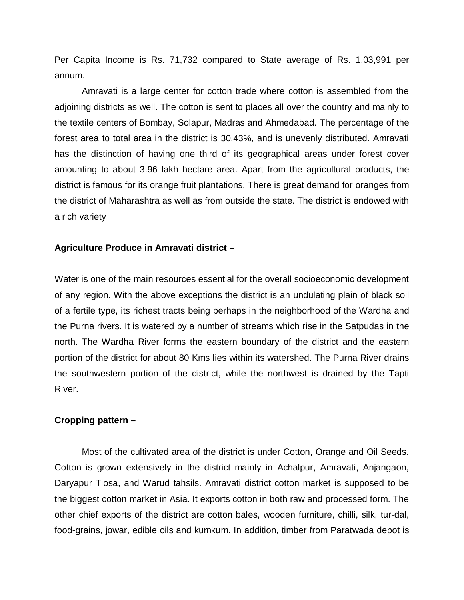Per Capita Income is Rs. 71,732 compared to State average of Rs. 1,03,991 per annum.

Amravati is a large center for cotton trade where cotton is assembled from the adjoining districts as well. The cotton is sent to places all over the country and mainly to the textile centers of Bombay, Solapur, Madras and Ahmedabad. The percentage of the forest area to total area in the district is 30.43%, and is unevenly distributed. Amravati has the distinction of having one third of its geographical areas under forest cover amounting to about 3.96 lakh hectare area. Apart from the agricultural products, the district is famous for its orange fruit plantations. There is great demand for oranges from the district of Maharashtra as well as from outside the state. The district is endowed with a rich variety

#### **Agriculture Produce in Amravati district –**

Water is one of the main resources essential for the overall socioeconomic development of any region. With the above exceptions the district is an undulating plain of black soil of a fertile type, its richest tracts being perhaps in the neighborhood of the Wardha and the Purna rivers. It is watered by a number of streams which rise in the Satpudas in the north. The Wardha River forms the eastern boundary of the district and the eastern portion of the district for about 80 Kms lies within its watershed. The Purna River drains the southwestern portion of the district, while the northwest is drained by the Tapti River.

#### **Cropping pattern –**

Most of the cultivated area of the district is under Cotton, Orange and Oil Seeds. Cotton is grown extensively in the district mainly in Achalpur, Amravati, Anjangaon, Daryapur Tiosa, and Warud tahsils. Amravati district cotton market is supposed to be the biggest cotton market in Asia. It exports cotton in both raw and processed form. The other chief exports of the district are cotton bales, wooden furniture, chilli, silk, tur-dal, food-grains, jowar, edible oils and kumkum. In addition, timber from Paratwada depot is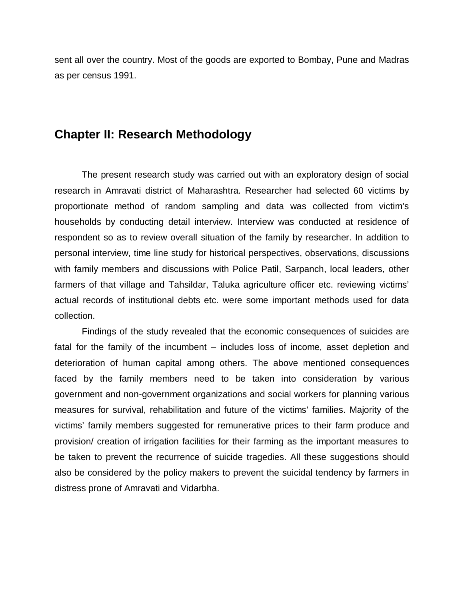sent all over the country. Most of the goods are exported to Bombay, Pune and Madras as per census 1991.

# **Chapter II: Research Methodology**

The present research study was carried out with an exploratory design of social research in Amravati district of Maharashtra. Researcher had selected 60 victims by proportionate method of random sampling and data was collected from victim's households by conducting detail interview. Interview was conducted at residence of respondent so as to review overall situation of the family by researcher. In addition to personal interview, time line study for historical perspectives, observations, discussions with family members and discussions with Police Patil, Sarpanch, local leaders, other farmers of that village and Tahsildar, Taluka agriculture officer etc. reviewing victims' actual records of institutional debts etc. were some important methods used for data collection.

Findings of the study revealed that the economic consequences of suicides are fatal for the family of the incumbent – includes loss of income, asset depletion and deterioration of human capital among others. The above mentioned consequences faced by the family members need to be taken into consideration by various government and non-government organizations and social workers for planning various measures for survival, rehabilitation and future of the victims' families. Majority of the victims' family members suggested for remunerative prices to their farm produce and provision/ creation of irrigation facilities for their farming as the important measures to be taken to prevent the recurrence of suicide tragedies. All these suggestions should also be considered by the policy makers to prevent the suicidal tendency by farmers in distress prone of Amravati and Vidarbha.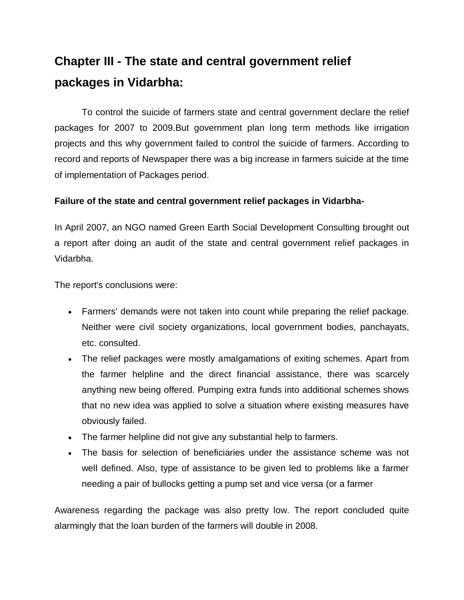# **Chapter III - The state and central government relief packages in Vidarbha:**

To control the suicide of farmers state and central government declare the relief packages for 2007 to 2009.But government plan long term methods like irrigation projects and this why government failed to control the suicide of farmers. According to record and reports of Newspaper there was a big increase in farmers suicide at the time of implementation of Packages period.

#### **Failure of the state and central government relief packages in Vidarbha-**

In April 2007, an NGO named Green Earth Social Development Consulting brought out a report after doing an audit of the state and central government relief packages in Vidarbha.

The report's conclusions were:

- Farmers' demands were not taken into count while preparing the relief package. Neither were civil society organizations, local government bodies, panchayats, etc. consulted.
- The relief packages were mostly amalgamations of exiting schemes. Apart from the farmer helpline and the direct financial assistance, there was scarcely anything new being offered. Pumping extra funds into additional schemes shows that no new idea was applied to solve a situation where existing measures have obviously failed.
- The farmer helpline did not give any substantial help to farmers.
- The basis for selection of beneficiaries under the assistance scheme was not well defined. Also, type of assistance to be given led to problems like a farmer needing a pair of bullocks getting a pump set and vice versa (or a farmer

Awareness regarding the package was also pretty low. The report concluded quite alarmingly that the loan burden of the farmers will double in 2008.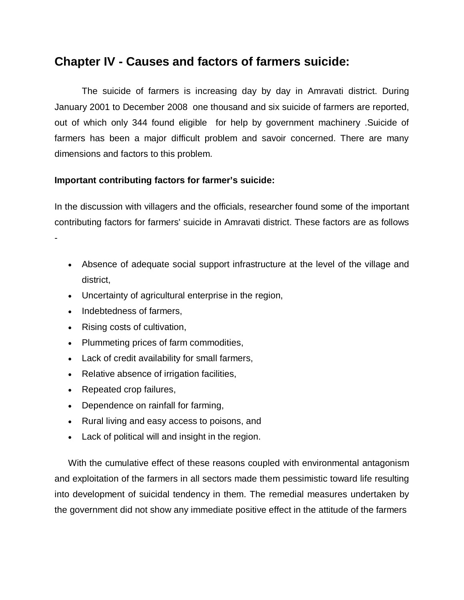# **Chapter IV - Causes and factors of farmers suicide:**

The suicide of farmers is increasing day by day in Amravati district. During January 2001 to December 2008 one thousand and six suicide of farmers are reported, out of which only 344 found eligible for help by government machinery .Suicide of farmers has been a major difficult problem and savoir concerned. There are many dimensions and factors to this problem.

#### **Important contributing factors for farmer's suicide:**

In the discussion with villagers and the officials, researcher found some of the important contributing factors for farmers' suicide in Amravati district. These factors are as follows -

- Absence of adequate social support infrastructure at the level of the village and district,
- Uncertainty of agricultural enterprise in the region,
- Indebtedness of farmers,
- Rising costs of cultivation,
- Plummeting prices of farm commodities,
- Lack of credit availability for small farmers,
- Relative absence of irrigation facilities,
- Repeated crop failures,
- Dependence on rainfall for farming,
- Rural living and easy access to poisons, and
- Lack of political will and insight in the region.

With the cumulative effect of these reasons coupled with environmental antagonism and exploitation of the farmers in all sectors made them pessimistic toward life resulting into development of suicidal tendency in them. The remedial measures undertaken by the government did not show any immediate positive effect in the attitude of the farmers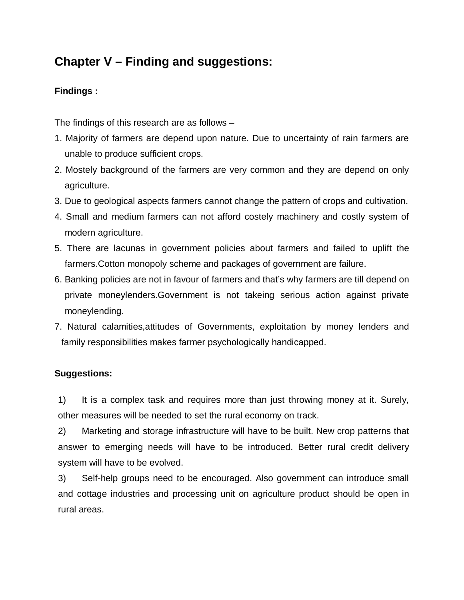# **Chapter V – Finding and suggestions:**

### **Findings :**

The findings of this research are as follows –

- 1. Majority of farmers are depend upon nature. Due to uncertainty of rain farmers are unable to produce sufficient crops.
- 2. Mostely background of the farmers are very common and they are depend on only agriculture.
- 3. Due to geological aspects farmers cannot change the pattern of crops and cultivation.
- 4. Small and medium farmers can not afford costely machinery and costly system of modern agriculture.
- 5. There are lacunas in government policies about farmers and failed to uplift the farmers.Cotton monopoly scheme and packages of government are failure.
- 6. Banking policies are not in favour of farmers and that's why farmers are till depend on private moneylenders.Government is not takeing serious action against private moneylending.
- 7. Natural calamities,attitudes of Governments, exploitation by money lenders and family responsibilities makes farmer psychologically handicapped.

### **Suggestions:**

1) It is a complex task and requires more than just throwing money at it. Surely, other measures will be needed to set the rural economy on track.

2) Marketing and storage infrastructure will have to be built. New crop patterns that answer to emerging needs will have to be introduced. Better rural credit delivery system will have to be evolved.

3) Self-help groups need to be encouraged. Also government can introduce small and cottage industries and processing unit on agriculture product should be open in rural areas.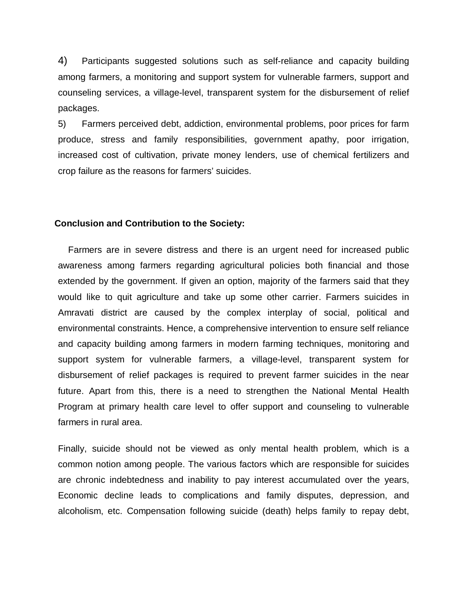4) Participants suggested solutions such as self-reliance and capacity building among farmers, a monitoring and support system for vulnerable farmers, support and counseling services, a village-level, transparent system for the disbursement of relief packages.

5) Farmers perceived debt, addiction, environmental problems, poor prices for farm produce, stress and family responsibilities, government apathy, poor irrigation, increased cost of cultivation, private money lenders, use of chemical fertilizers and crop failure as the reasons for farmers' suicides.

#### **Conclusion and Contribution to the Society:**

Farmers are in severe distress and there is an urgent need for increased public awareness among farmers regarding agricultural policies both financial and those extended by the government. If given an option, majority of the farmers said that they would like to quit agriculture and take up some other carrier. Farmers suicides in Amravati district are caused by the complex interplay of social, political and environmental constraints. Hence, a comprehensive intervention to ensure self reliance and capacity building among farmers in modern farming techniques, monitoring and support system for vulnerable farmers, a village-level, transparent system for disbursement of relief packages is required to prevent farmer suicides in the near future. Apart from this, there is a need to strengthen the National Mental Health Program at primary health care level to offer support and counseling to vulnerable farmers in rural area.

Finally, suicide should not be viewed as only mental health problem, which is a common notion among people. The various factors which are responsible for suicides are chronic indebtedness and inability to pay interest accumulated over the years, Economic decline leads to complications and family disputes, depression, and alcoholism, etc. Compensation following suicide (death) helps family to repay debt,